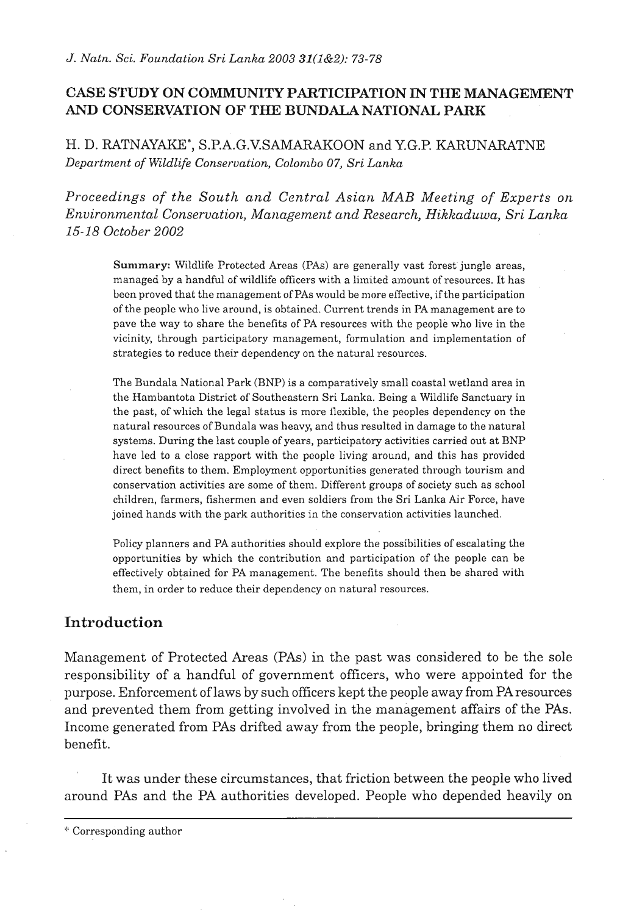# **CASE STUDY ON COMNIUNITY PARTICIPATION IN THE MANAGEMENT AND CONSERVATION OF THE BUNDALANATIONAL PARK**

H. D . RATNAYAKE\*, S .P. A.G.V.SAMARAK0ON and Y.G.P. **KARUNARATNE**  *Department of Wildlife Conservation, Colombo 07, Sri Lanka* 

*Proceedings of the South and Central Asian MAB Meeting of Experts on Environmental Conservation, Management and Research, Hiklzaduwa, Sri Lanka 15-18 October 2002* 

Summary: Wildlife Protected Areas (PAS) are generally vast forest jungle areas, managed by a handful of wildlife officers with a limited amount of resources. It has bccn proved that the management of PAS would be more effective, if the participation of the peoplc who live around, is obtained. Current trends in PAmanagement are to pave the way to share the benefits of PA resources with the people who live in the vicinity, through participatory management, formulation and implementation of strategies to reduce their dependency on the natural resources.

The Bundala National Park (BNP) is a comparatively small coastal wetland area in the Hambantota District of Southeastern Sri Lanka. Being a Wildlife Sanctuary in the past, of which the legal status is more flexible, the peoples dependency on the natural resources of Bundala was heavy, and thus resulted in damage to the natural systems. During the last couple of years, participatory activities carried out at BNP have led to a close rapport with the people living around, and this has provided direct benefits to them. Employment opportunities generated through tourism and conservation activities are some of them. Different groups of society such as school children, farmers, fishermen and even soldiers from the Sri Lanlra Air Force, have joined hands wilh the park authorities in the conservation activities launched.

Policy planners and PA authorities should explore the possibilities of escalating the opportunities by which the contribution and participation of the people can be effectively obtained for PA management. The benefits should then be shared with them, in order to reduce their dependency on natural resources.

# **Introduction**

Management of Protected Areas (PAS) in the past was considered to be the sole responsibility of a handful of government officers, who were appointed for the purpose. Enforcement of laws by such officers kept the people away from PAresources and prevented them from getting involved in the management affairs of the **PAS.**  Income generated from **PAS** drifted away from the people, bringing them no direct benefit.

It was under these circumstances, that friction between the people who lived around PAS and the PA authorities developed. People who depended heavily on

'Torresponding author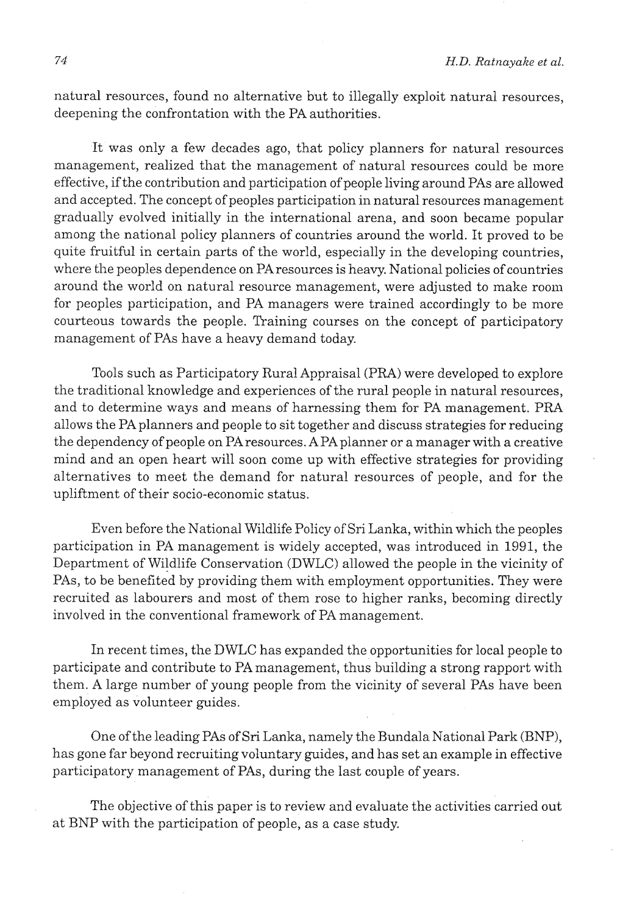natural resources, found no alternative but to illegally exploit natural resources, deepening the confrontation with the PA authorities.

It was only a few decades ago, that policy planners for natural resources management, realized that the management of natural resources could be more effective, if the contribution and participation of people living around PAS are allowed and accepted. The concept of peoples participation in natural resources management gradually evolved initially in the international arena, and soon became popular among the national policy planners of countries around the world. It proved to be quite fruitful in certain parts of the world, especially in the developing countries, where the peoples dependence on PAresources is heavy. National policies of countries around the world on natural resource management, were adjusted to make room for peoples participation, and PA managers were trained accordingly to be more courteous towards the people. Training courses on the concept of participatory management of PAS have a heavy demand today.

Tools such as Participatory Rural Appraisal (PRA) were developed to explore the traditional knowledge and experiences of the rural people in natural resources, and to determine ways and means of harnessing them for PA management. PRA allows the PA planners and people to sit together and discuss strategies for reducing the dependency of people on PA resources. A PA planner or a manager with a creative mind and an open heart will soon come up with effective strategies for providing . alternatives to meet the demand for natural resources of people, and for the upliftment of their socio-economic status.

Even before the National Wildlife Policy of Sri Lanka, within which the peoples participation in PA management is widely accepted, was introduced in 1991, the Department of Wildlife Conservation (DWLC) allowed the people in the vicinity of PAs, to be benefited by providing them with employment opportunities. They were recruited as labourers and' most of them rose to higher ranks, becoming directly involved in the conventional framework of PA management.

In recent times, the DWLC has expanded the opportunities for local people to participate and contribute to PA management, thus building a strong rapport with them. A large number of young people from the vicinity of several PAS have been employed as volunteer guides.

One of the leading PAS of Sri Lanka, namely the Bundala National Park (BNP), has gone far beyond recruiting voluntary guides, and has set an example in effective participatory management of PAS, during the last couple of years.

The objective of this paper is to review and evaluate the activities carried out at BNP with the participation of people, as a case study.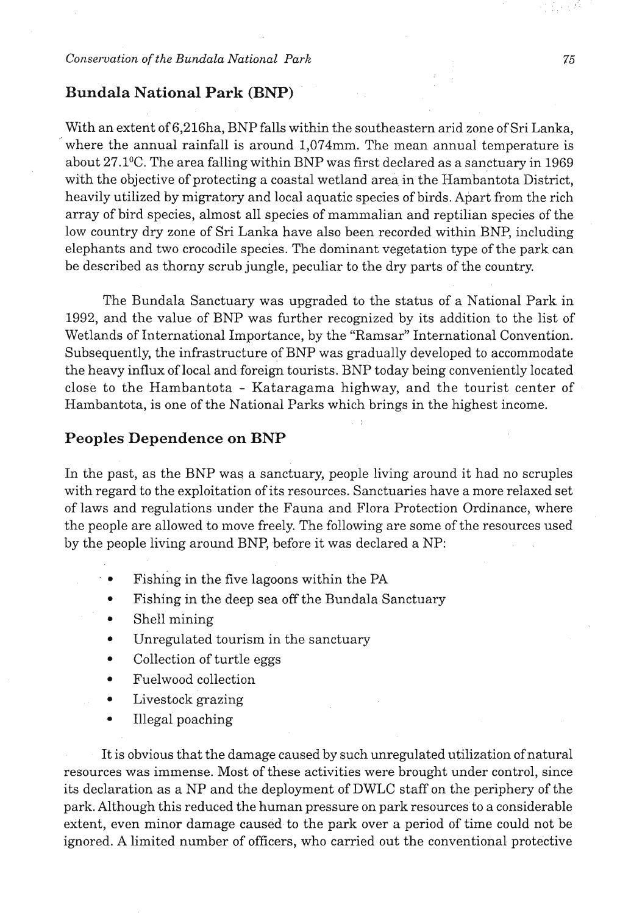## **Bundala National Park (BNP)**

With an extent of 6,216ha, BNP falls within the southeastern arid zone of Sri Lanka, where the annual rainfall is around 1,074mm. The mean annual temperature is about 27.1°C. The area falling within BNP was first declared as a sanctuary in 1969 with the objective of protecting a coastal wetland area in the Hambantota District, heavily utilized by migratory and local aquatic species of birds. Apart from the rich array of bird species, almost all species of mammalian and reptilian species of the low country dry zone of Sri Lanka have also been recorded within BNP, including elephants and two crocodile species. The dominant vegetation type of the park can be described as thorny scrub jungle, peculiar to the dry parts of the country.

The Bundala Sanctuary was upgraded to the status of a National Park in 1992, and the value of BNP was further recognized by its addition to the list of Wetlands of International Importance, by the "Ramsar" International Convention. Subsequently, the infrastructure of BNP was gradually developed to accommodate the heavy influx of local and foreign tourists. BNP today being conveniently located close to the Hambantota - Kataragama highway, and the tourist center of Hambantota, is one of the National Parks which brings in the highest income.

## **Peoples Dependence on BNP**

In the past, as the BNP was a sanctuary, people living around it had no scruples with regard to the exploitation of its resources. Sanctuaries have a more relaxed set of laws and regulations under the Fauna and Flora Protection Ordinance, where the people are allowed to move freely. The following are some of the resources used by the people living around BNP, before it was declared a NP:

- Fishing in the five lagoons within the PA
- Fishing in the deep sea off the Bundala Sanctuary
- Shell mining
- Unregulated tourism in the sanctuary
- Collection of turtle eggs
- Fuelwood collection  $\bullet$
- Livestock grazing  $\bullet$
- Illegal poaching  $\bullet$

It is obvious that the damage caused by such unregulated utilization ofnatural resources was immense. Most of these activities were brought under control, since its declaration as a NP and the deployment of DWLC staff on the periphery of the park. Although this reduced the human pressure on park resources to a considerable extent, even minor damage caused to the park over a period of time could not be ignored. **A** limited number of officers, who carried out the conventional protective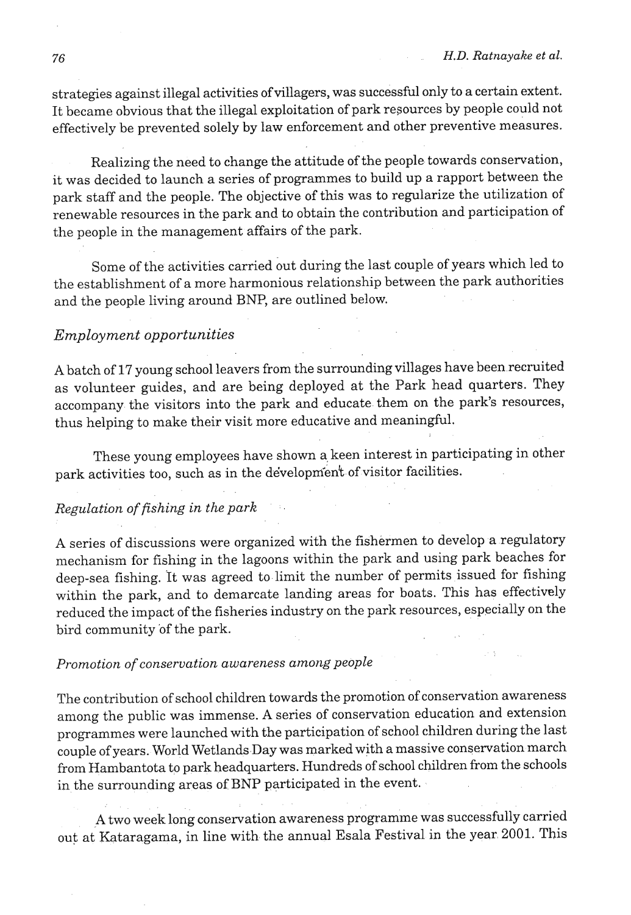.!

strategies against illegal activities of villagers, was successful only to a certain extent. It became obvious that the illegal exploitation of park resources by people could not effectively be prevented solely by law enforcement and other preventive measures.

Realizing the need to change the attitude of the people towards conservation, it was decided to launch a series of programmes to build up a rapport between the park staff and the people. The objective of this was to regularize the utilization of renewable resources in the park and to obtain the contribution and participation of the people in the management affairs of the park.

Some of the activities carried out during the last couple of years which led to the establishment of a more harmonious relationship between the park authorities and the people living around BNP, are outlined below.

## *Employment opportunities*

A batch of 17 young school leavers from the surrounding villages have been recruited as volunteer guides, and are being deployed at the Park head quarters. They accompany the visitors into the park and educate them on the park's resources, thus helping to make their visit more educative and meaningful.

These young employees have shown a keen interest in participating in other park activities too, such as in the development of visitor facilities.

## *Regulation of fishing in the park* ' :,

A series of discussions were organized with the fishermen to develop a regulatory mechanism for fishing in the lagoons within the park **and** using park beaches for deep-sea fishing. It was agreed to limit the number of permits issued for fishing within the park, and to demarcate landing areas for boats. This has effectively reduced the impact of the fisheries industry on the park resources, especially on the bird community of the park.

#### . , *Promotion of conservation awareness among people*

The contribution of school children towards the promotion of conservation awareness among the public was immense. A series of conservation education and extension programmes were launched with the participation of school children during the last couple of years. World Wetlands Day was marked with a massive conservation march from Hambantota to park headquarters. Hundreds of school children from the schools in the surrounding areas of BNP participated in the event.

**A** two week long conservation awareness programme was successfully carried out at' Kataragama, in line with the annual Esala Festival in the year 2001. This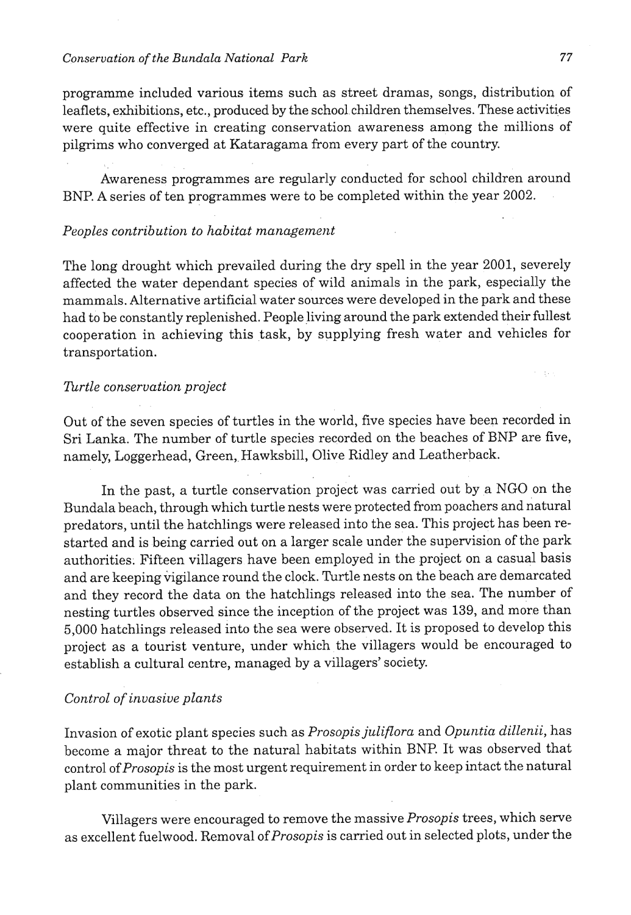## *Conservation of the Bundala National Park* **77**

programme included various items such as street dramas, songs, distribution of leaflets, exhibitions, etc., produced by the school children themselves. These activities were quite effective in creating conservation awareness among the millions of pilgrims who converged at Kataragama from every part of the country.

Awareness programmes are regularly conducted for school children around BNP. A series of ten programmes were to be completed within the year 2002.

#### Peoples contribution to habitat management

The long drought which prevailed during the dry spell in the year 2001, severely affected the water dependant species of wild animals in the park, especially the mammals. Alternative artificial water sources were developed in the park and these had to be constantly replenished. People living around the park extended their fullest cooperation in achieving this task, by supplying fresh water and vehicles for transportation.

## Turtle conservation project

Out of the seven species of turtles in the world, five species have been recorded in Sri Lanka. The number of turtle species recorded on the beaches of BNP are five, namely, Loggerhead, Green, Hawksbill, Olive Ridley and Leatherback.

In the past, a turtle conservation project was carried out by a NGO on the Bundala beach, through which turtle nests were protected from poachers and natural predators, until the hatchlings were released into the sea. This project has been restarted and is being carried out on a larger scale under the supervision of the park authorities. Fifteen villagers have been employed in the project on a casual basis and are keeping vigilance round the clock. Turtle nests on the beach are demarcated and they record the data on the hatchlings released into the sea. The number of nesting turtles observed since the inception of the project was 139, and more than 5,000 hatchlings released into the sea were observed. It is proposed to develop this project as a tourist venture, under which the villagers would be encouraged to establish a cultural centre, managed by a villagers' society.

### Control of invasive plants

Invasion of exotic plant species such as Prosopis juliflora and Opuntia dillenii, has become a major threat to the natural habitats within BNP. It was observed that control of Prosopis is the most urgent requirement in order to keep intact the natural plant communities in the park.

Villagers were encouraged to remove the massive Prosopis trees, which serve as excellent fuelwood. Removal of Prosopis is carried out in selected plots, under the